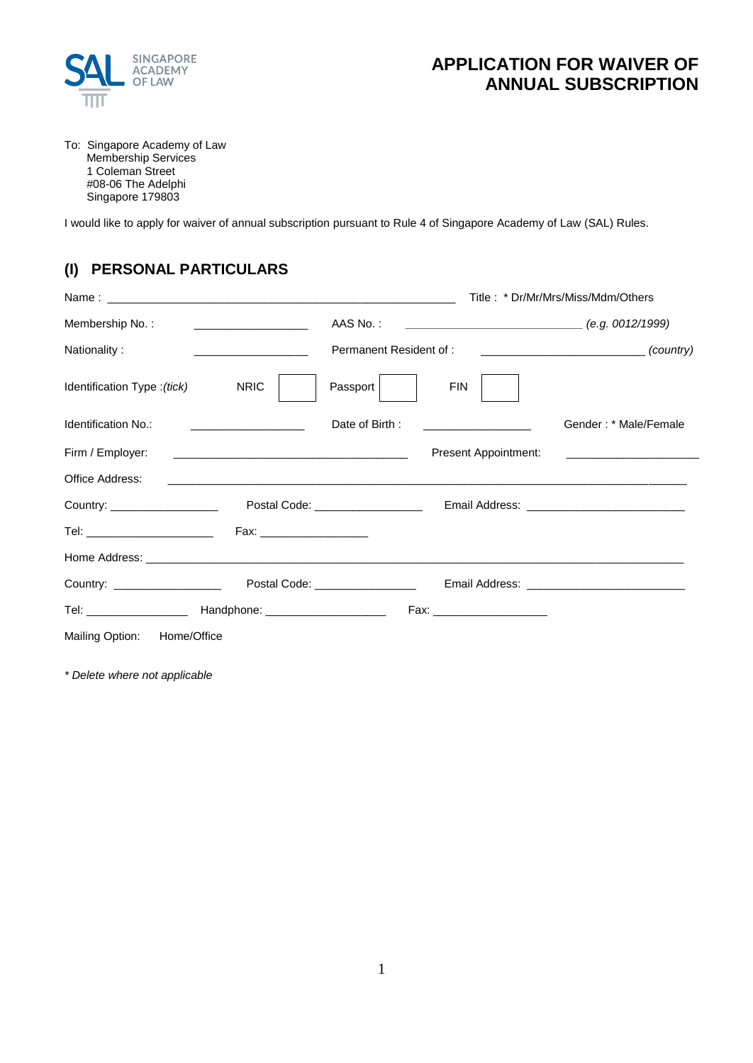

# **APPLICATION FOR WAIVER OF ANNUAL SUBSCRIPTION**

To: Singapore Academy of Law Membership Services 1 Coleman Street #08-06 The Adelphi Singapore 179803

I would like to apply for waiver of annual subscription pursuant to Rule 4 of Singapore Academy of Law (SAL) Rules.

## **(I) PERSONAL PARTICULARS**

|                                   |                                                      | Title: * Dr/Mr/Mrs/Miss/Mdm/Others |                                      |                                                                                               |  |
|-----------------------------------|------------------------------------------------------|------------------------------------|--------------------------------------|-----------------------------------------------------------------------------------------------|--|
| Membership No.:                   | <u> 1989 - Johann Stein, fransk kampens og den s</u> |                                    |                                      |                                                                                               |  |
| Nationality:                      |                                                      | Permanent Resident of:             |                                      | $\begin{array}{c} \begin{array}{c} \begin{array}{c} \hline \end{array} \end{array}$ (country) |  |
| Identification Type : (tick) NRIC |                                                      | Passport                           | FIN                                  |                                                                                               |  |
| Identification No.:               | the company of the company of the company of         |                                    | Date of Birth : ____________________ | Gender: * Male/Female                                                                         |  |
|                                   |                                                      |                                    | Present Appointment:                 |                                                                                               |  |
| Office Address:                   |                                                      |                                    |                                      |                                                                                               |  |
| Country: ____________________     |                                                      | Postal Code: __________________    |                                      |                                                                                               |  |
|                                   |                                                      |                                    |                                      |                                                                                               |  |
|                                   |                                                      |                                    |                                      |                                                                                               |  |
|                                   |                                                      |                                    |                                      |                                                                                               |  |
|                                   |                                                      |                                    | Fax: ______________________          |                                                                                               |  |
| Mailing Option: Home/Office       |                                                      |                                    |                                      |                                                                                               |  |

*\* Delete where not applicable*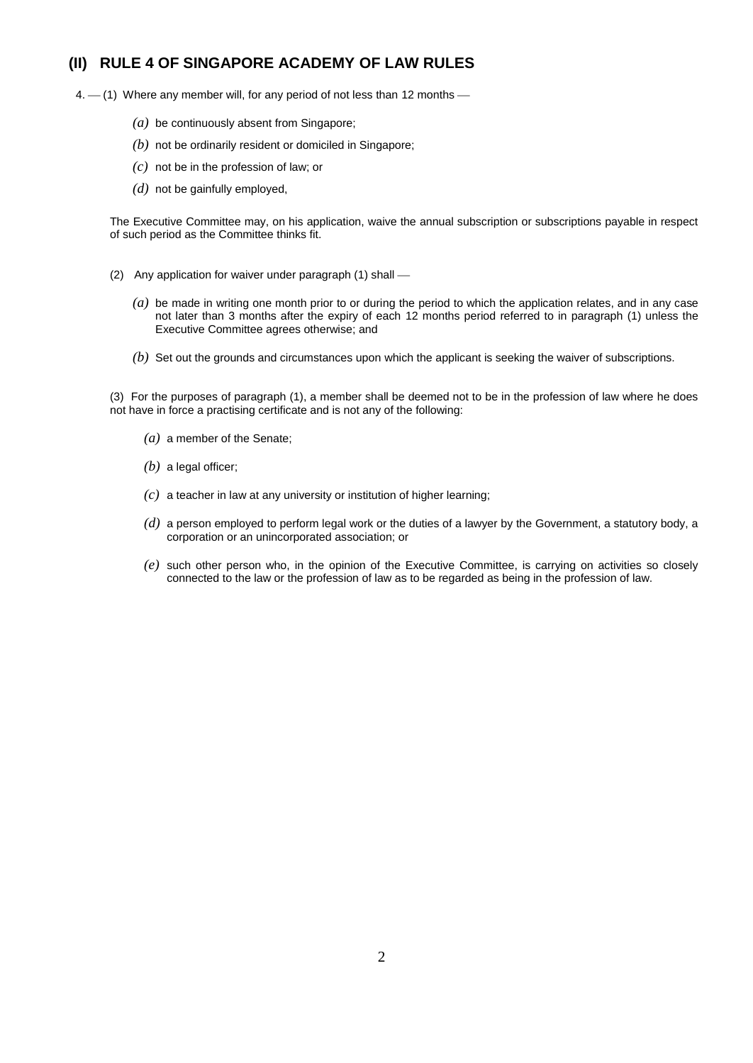#### **(II) RULE 4 OF SINGAPORE ACADEMY OF LAW RULES**

 $4. - (1)$  Where any member will, for any period of not less than 12 months  $-$ 

- *(a)* be continuously absent from Singapore;
- *(b)* not be ordinarily resident or domiciled in Singapore;
- *(c)* not be in the profession of law; or
- *(d)* not be gainfully employed,

The Executive Committee may, on his application, waive the annual subscription or subscriptions payable in respect of such period as the Committee thinks fit.

- (2) Any application for waiver under paragraph (1) shall
	- *(a)* be made in writing one month prior to or during the period to which the application relates, and in any case not later than 3 months after the expiry of each 12 months period referred to in paragraph (1) unless the Executive Committee agrees otherwise; and
	- *(b)* Set out the grounds and circumstances upon which the applicant is seeking the waiver of subscriptions.

(3) For the purposes of paragraph (1), a member shall be deemed not to be in the profession of law where he does not have in force a practising certificate and is not any of the following:

- *(a)* a member of the Senate;
- *(b)* a legal officer;
- *(c)* a teacher in law at any university or institution of higher learning;
- *(d)* a person employed to perform legal work or the duties of a lawyer by the Government, a statutory body, a corporation or an unincorporated association; or
- *(e)* such other person who, in the opinion of the Executive Committee, is carrying on activities so closely connected to the law or the profession of law as to be regarded as being in the profession of law.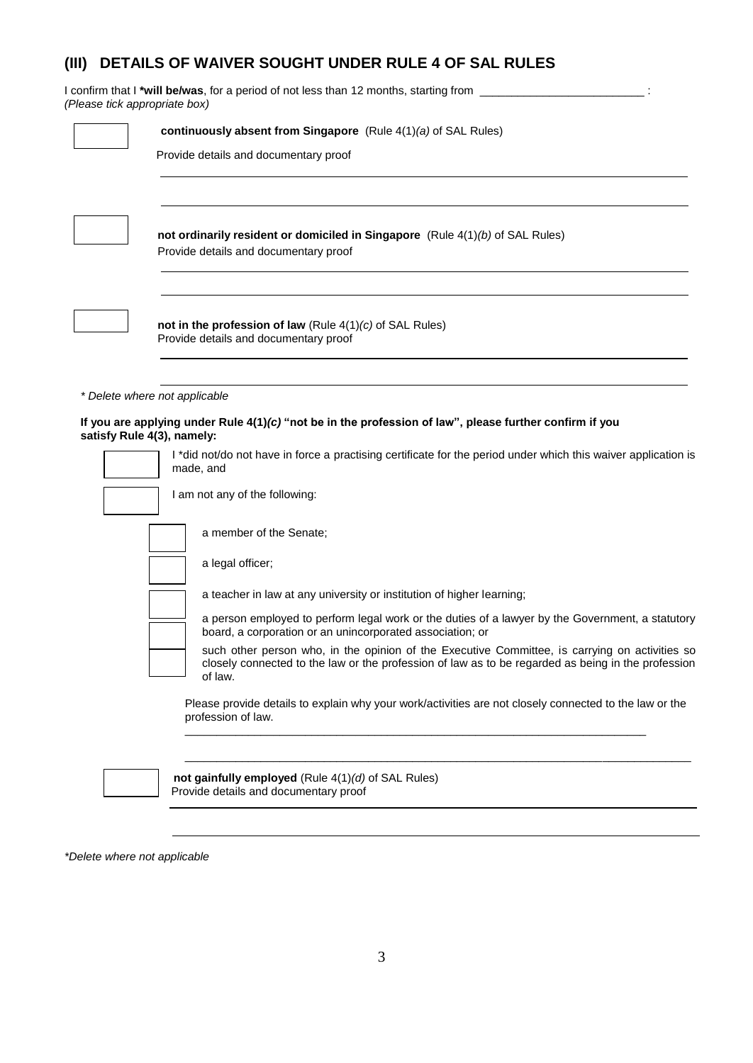# **(III) DETAILS OF WAIVER SOUGHT UNDER RULE 4 OF SAL RULES**

I confirm that I **\*will be/was**, for a period of not less than 12 months, starting from \_\_\_\_\_\_\_\_\_\_\_\_\_\_\_\_\_\_\_\_\_\_\_\_\_\_ : *(Please tick appropriate box)*

| continuously absent from Singapore (Rule $4(1)(a)$ of SAL Rules)                                                                                                                                                |
|-----------------------------------------------------------------------------------------------------------------------------------------------------------------------------------------------------------------|
| Provide details and documentary proof                                                                                                                                                                           |
| not ordinarily resident or domiciled in Singapore (Rule 4(1)(b) of SAL Rules)<br>Provide details and documentary proof                                                                                          |
| not in the profession of law (Rule $4(1)(c)$ of SAL Rules)<br>Provide details and documentary proof                                                                                                             |
| * Delete where not applicable                                                                                                                                                                                   |
| If you are applying under Rule $4(1)(c)$ "not be in the profession of law", please further confirm if you<br>satisfy Rule 4(3), namely:                                                                         |
| I *did not/do not have in force a practising certificate for the period under which this waiver application is<br>made, and                                                                                     |
| I am not any of the following:                                                                                                                                                                                  |
| a member of the Senate;                                                                                                                                                                                         |
| a legal officer;                                                                                                                                                                                                |
| a teacher in law at any university or institution of higher learning;                                                                                                                                           |
| a person employed to perform legal work or the duties of a lawyer by the Government, a statutory<br>board, a corporation or an unincorporated association; or                                                   |
| such other person who, in the opinion of the Executive Committee, is carrying on activities so<br>closely connected to the law or the profession of law as to be regarded as being in the profession<br>of law. |
| Please provide details to explain why your work/activities are not closely connected to the law or the<br>profession of law.                                                                                    |
| not gainfully employed (Rule 4(1)(d) of SAL Rules)<br>Provide details and documentary proof                                                                                                                     |

*\*Delete where not applicable*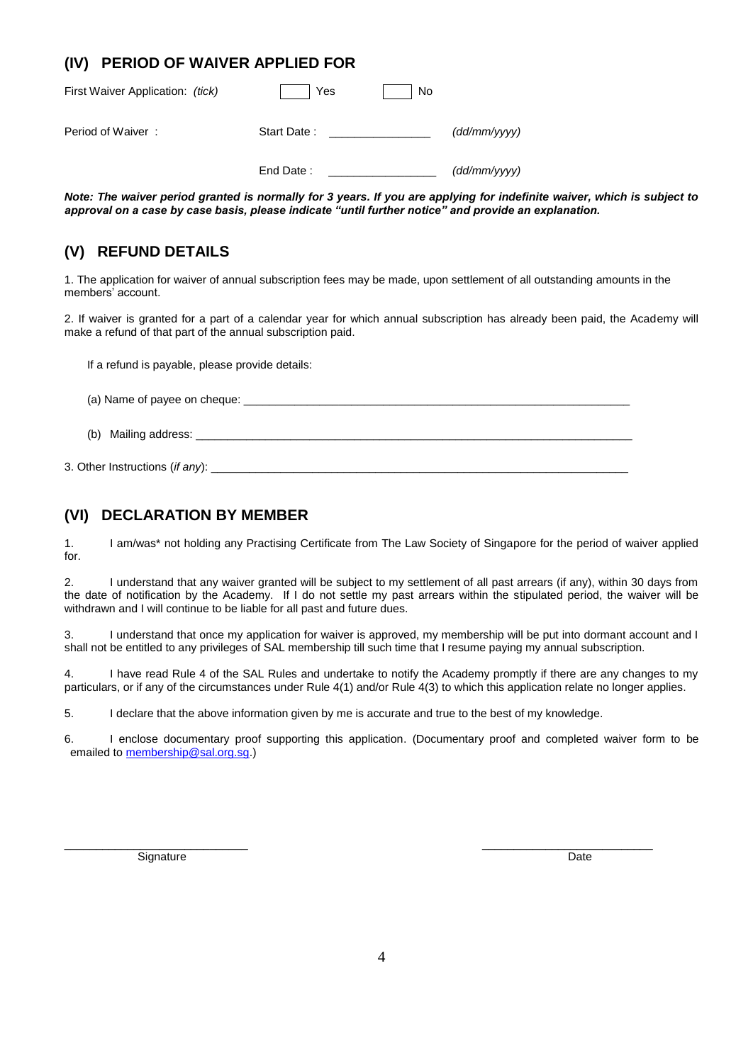### **(IV) PERIOD OF WAIVER APPLIED FOR**

| First Waiver Application: (tick) | Yes         | No |              |
|----------------------------------|-------------|----|--------------|
| Period of Waiver:                | Start Date: |    | (dd/mm/yyyy) |
|                                  | End Date:   |    | (dd/mm/yyyy) |

*Note: The waiver period granted is normally for 3 years. If you are applying for indefinite waiver, which is subject to approval on a case by case basis, please indicate "until further notice" and provide an explanation.*

### **(V) REFUND DETAILS**

1. The application for waiver of annual subscription fees may be made, upon settlement of all outstanding amounts in the members' account.

2. If waiver is granted for a part of a calendar year for which annual subscription has already been paid, the Academy will make a refund of that part of the annual subscription paid.

If a refund is payable, please provide details:

(a) Name of payee on cheque: \_\_\_\_\_\_\_\_\_\_\_\_\_\_\_\_\_\_\_\_\_\_\_\_\_\_\_\_\_\_\_\_\_\_\_\_\_\_\_\_\_\_\_\_\_\_\_\_\_\_\_\_\_\_\_\_\_\_\_\_\_

(b) Mailing address: \_\_\_\_

3. Other Instructions (*if any*):

#### **(VI) DECLARATION BY MEMBER**

1. I am/was\* not holding any Practising Certificate from The Law Society of Singapore for the period of waiver applied for.

2. I understand that any waiver granted will be subject to my settlement of all past arrears (if any), within 30 days from the date of notification by the Academy. If I do not settle my past arrears within the stipulated period, the waiver will be withdrawn and I will continue to be liable for all past and future dues.

3. I understand that once my application for waiver is approved, my membership will be put into dormant account and I shall not be entitled to any privileges of SAL membership till such time that I resume paying my annual subscription.

4. I have read Rule 4 of the SAL Rules and undertake to notify the Academy promptly if there are any changes to my particulars, or if any of the circumstances under Rule 4(1) and/or Rule 4(3) to which this application relate no longer applies.

5. I declare that the above information given by me is accurate and true to the best of my knowledge.

6. I enclose documentary proof supporting this application. (Documentary proof and completed waiver form to be emailed t[o membership@sal.org.sg.\)](mailto:membership@sal.org.sg)

\_\_\_\_\_\_\_\_\_\_\_\_\_\_\_\_\_\_\_\_\_\_\_\_\_\_\_\_\_ \_\_\_\_\_\_\_\_\_\_\_\_\_\_\_\_\_\_\_\_\_\_\_\_\_\_\_

Signature Date Date of the Contract of the Contract of the Contract of the Date Date Date Date of the Date of the Date of the Date of the Date of the Date of the Date of the Date of the Date of the Date of the Date of the